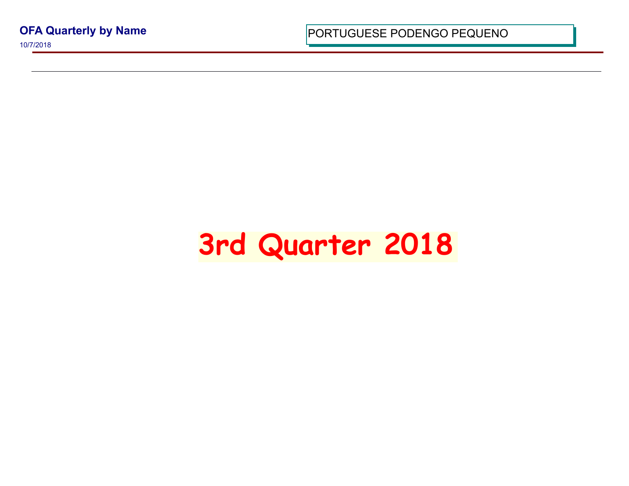**OFA Quarterly by Name**

10/7/2018

PORTUGUESE PODENGO PEQUI

## **3rd Quarter 2018**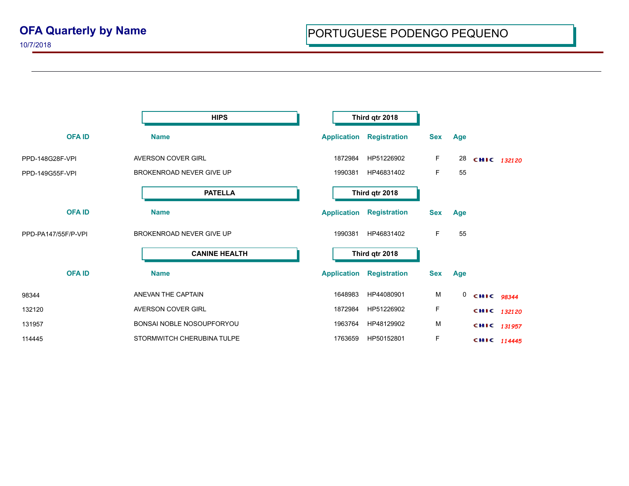10/7/2018